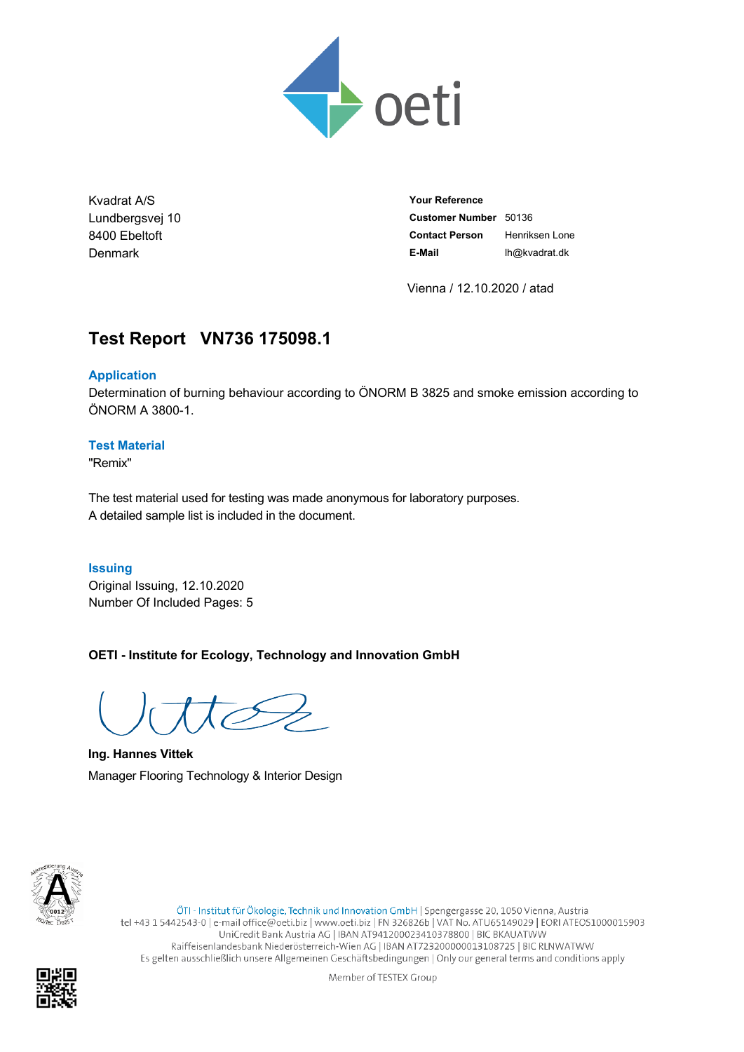

Kvadrat A/S Lundbergsvej 10 8400 Ebeltoft Denmark

**Your Reference Customer Number** 50136 **Contact Person** Henriksen Lone **E-Mail** lh@kvadrat.dk

Vienna / 12.10.2020 / atad

# **Test Report VN736.175098.1**

#### **Application**

Determination of burning behaviour according to ÖNORM B 3825 and smoke emission according to ÖNORM A 3800-1.

#### **Test Material**

"Remix"

The test material used for testing was made anonymous for laboratory purposes. A detailed sample list is included in the document.

#### **Issuing**

Original Issuing, 12.10.2020 Number Of Included Pages: 5

**OETI - Institute for Ecology, Technology and Innovation GmbH**

**Ing. Hannes Vittek** Manager Flooring Technology & Interior Design



ÖTI - Institut für Ökologie, Technik und Innovation GmbH | Spengergasse 20, 1050 Vienna, Austria tel +43 1 5442543-0 | e-mail office@oeti.biz | www.oeti.biz | FN 326826b | VAT No. ATU65149029 | EORI ATEOS1000015903 UniCredit Bank Austria AG | IBAN AT941200023410378800 | BIC BKAUATWW Raiffeisenlandesbank Niederösterreich-Wien AG | IBAN AT723200000013108725 | BIC RLNWATWW Es gelten ausschließlich unsere Allgemeinen Geschäftsbedingungen | Only our general terms and conditions apply

Member of TESTEX Group

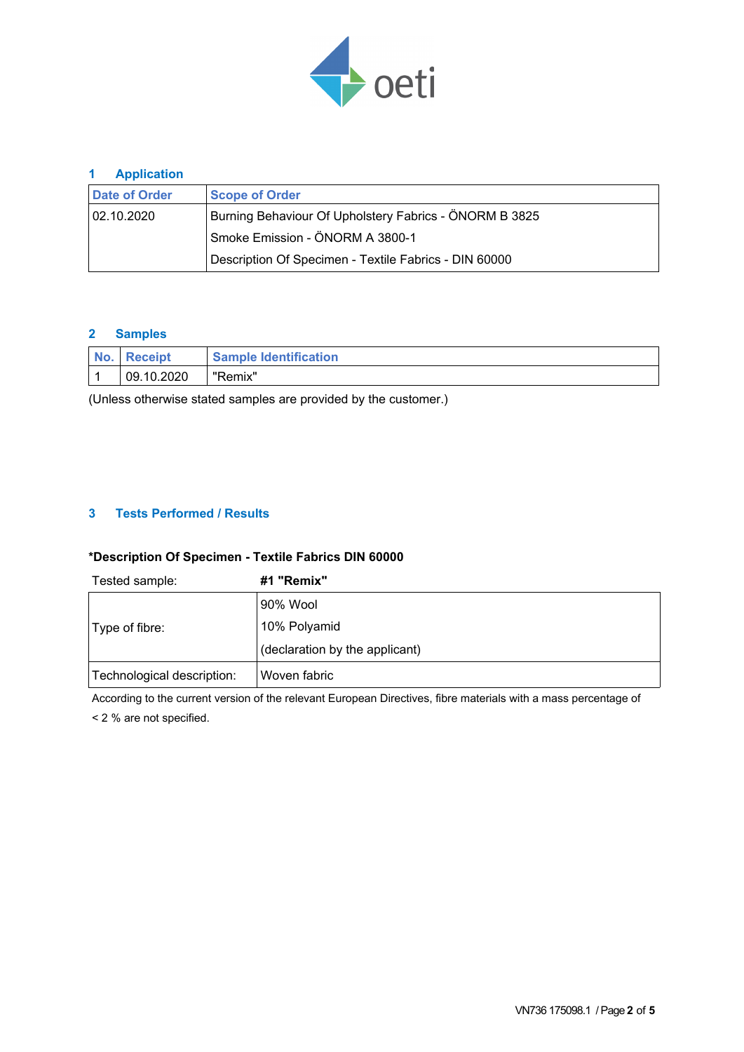

### **1 Application**

| Date of Order                   | <b>Scope of Order</b>                                  |  |  |  |  |
|---------------------------------|--------------------------------------------------------|--|--|--|--|
| 02.10.2020                      | Burning Behaviour Of Upholstery Fabrics - ÖNORM B 3825 |  |  |  |  |
| Smoke Emission - ÖNORM A 3800-1 |                                                        |  |  |  |  |
|                                 | Description Of Specimen - Textile Fabrics - DIN 60000  |  |  |  |  |

### **2 Samples**

| I No. | <b>Receipt</b> | <b>Sample Identification</b>     |
|-------|----------------|----------------------------------|
|       | 09.10.2020     | $\blacksquare$<br><i>s</i> emix" |

(Unless otherwise stated samples are provided by the customer.)

### **3 Tests Performed / Results**

#### **\*Description Of Specimen - Textile Fabrics DIN 60000**

| Tested sample:             | #1 "Remix"                     |
|----------------------------|--------------------------------|
|                            | 90% Wool                       |
| Type of fibre:             | 10% Polyamid                   |
|                            | (declaration by the applicant) |
| Technological description: | Woven fabric                   |

According to the current version of the relevant European Directives, fibre materials with a mass percentage of < 2 % are not specified.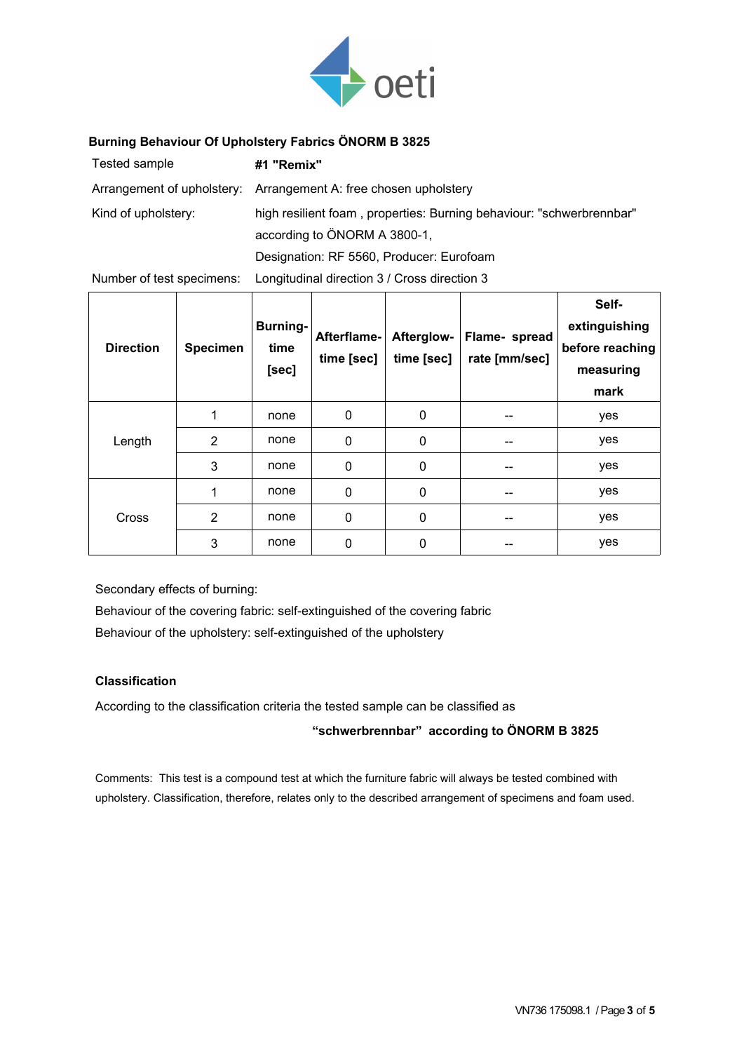

#### **Burning Behaviour Of Upholstery Fabrics ÖNORM B 3825**

| Tested sample       | #1 "Remix"                                                           |
|---------------------|----------------------------------------------------------------------|
|                     | Arrangement of upholstery: Arrangement A: free chosen upholstery     |
| Kind of upholstery: | high resilient foam, properties: Burning behaviour: "schwerbrennbar" |
|                     | according to ÖNORM A 3800-1,                                         |
|                     | Designation: RF 5560, Producer: Eurofoam                             |

Number of test specimens: Longitudinal direction 3 / Cross direction 3

| <b>Direction</b> | <b>Specimen</b> | <b>Burning-</b><br>time<br>[sec] | Afterflame-<br>time [sec] | Afterglow-<br>time [sec] | Flame- spread<br>rate [mm/sec] | Self-<br>extinguishing<br>before reaching<br>measuring<br>mark |
|------------------|-----------------|----------------------------------|---------------------------|--------------------------|--------------------------------|----------------------------------------------------------------|
| Length           |                 | none                             | 0                         | 0                        | --                             | yes                                                            |
|                  | $\overline{2}$  | none                             | $\mathbf 0$               | 0                        | --                             | yes                                                            |
|                  | 3               | none                             | $\mathbf{0}$              | 0                        | --                             | yes                                                            |
| Cross            |                 | none                             | 0                         | 0                        |                                | yes                                                            |
|                  | 2               | none                             | 0                         | 0                        |                                | yes                                                            |
|                  | 3               | none                             | 0                         | 0                        |                                | yes                                                            |

Secondary effects of burning:

Behaviour of the covering fabric: self-extinguished of the covering fabric Behaviour of the upholstery: self-extinguished of the upholstery

# **Classification**

According to the classification criteria the tested sample can be classified as

#### **"schwerbrennbar" according to ÖNORM B 3825**

Comments: This test is a compound test at which the furniture fabric will always be tested combined with upholstery. Classification, therefore, relates only to the described arrangement of specimens and foam used.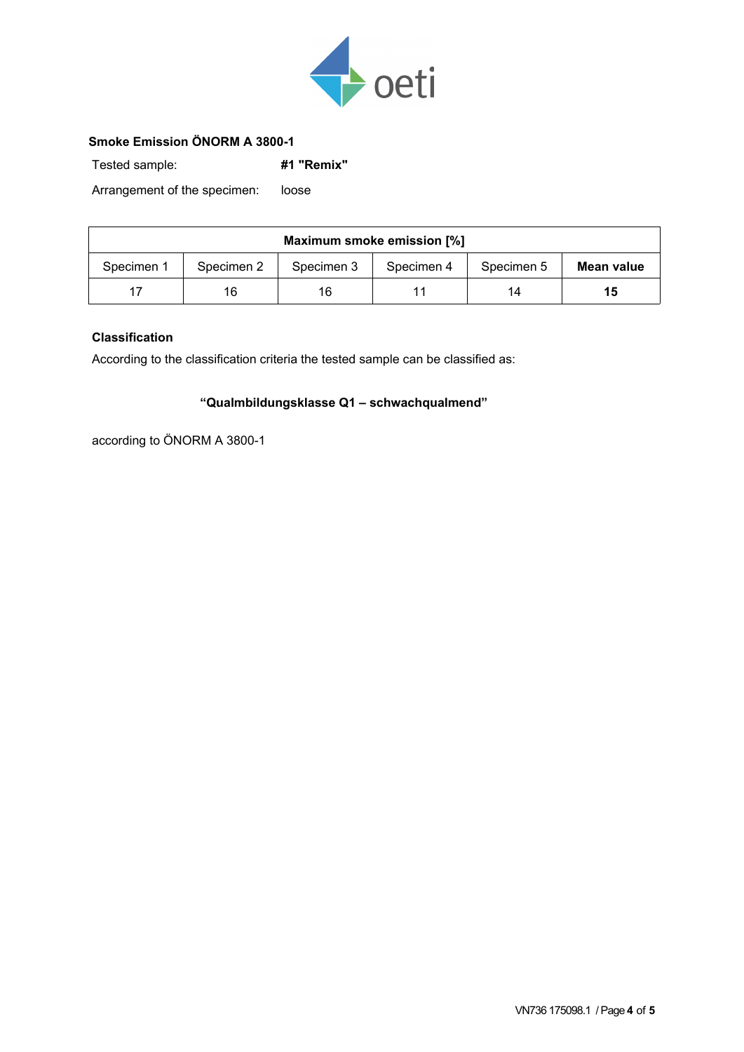

### **Smoke Emission ÖNORM A 3800-1**

Tested sample: **#1 "Remix"**

Arrangement of the specimen: loose

| Maximum smoke emission [%] |            |            |            |            |            |  |  |  |
|----------------------------|------------|------------|------------|------------|------------|--|--|--|
| Specimen 1                 | Specimen 2 | Specimen 3 | Specimen 4 | Specimen 5 | Mean value |  |  |  |
|                            | 16         | 16         |            | 14         | 15         |  |  |  |

### **Classification**

According to the classification criteria the tested sample can be classified as:

# **"Qualmbildungsklasse Q1 – schwachqualmend"**

according to ÖNORM A 3800-1